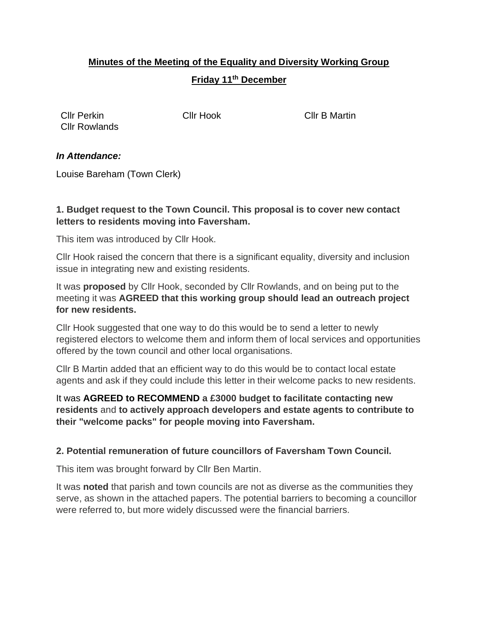# **Minutes of the Meeting of the Equality and Diversity Working Group Friday 11th December**

Cllr Perkin Cllr Hook Cllr B Martin Cllr Rowlands

#### *In Attendance:*

Louise Bareham (Town Clerk)

### **1. Budget request to the Town Council. This proposal is to cover new contact letters to residents moving into Faversham.**

This item was introduced by Cllr Hook.

Cllr Hook raised the concern that there is a significant equality, diversity and inclusion issue in integrating new and existing residents.

It was **proposed** by Cllr Hook, seconded by Cllr Rowlands, and on being put to the meeting it was **AGREED that this working group should lead an outreach project for new residents.**

Cllr Hook suggested that one way to do this would be to send a letter to newly registered electors to welcome them and inform them of local services and opportunities offered by the town council and other local organisations.

Cllr B Martin added that an efficient way to do this would be to contact local estate agents and ask if they could include this letter in their welcome packs to new residents.

It was **AGREED to RECOMMEND a £3000 budget to facilitate contacting new residents** and **to actively approach developers and estate agents to contribute to their "welcome packs" for people moving into Faversham.**

## **2. Potential remuneration of future councillors of Faversham Town Council.**

This item was brought forward by Cllr Ben Martin.

It was **noted** that parish and town councils are not as diverse as the communities they serve, as shown in the attached papers. The potential barriers to becoming a councillor were referred to, but more widely discussed were the financial barriers.